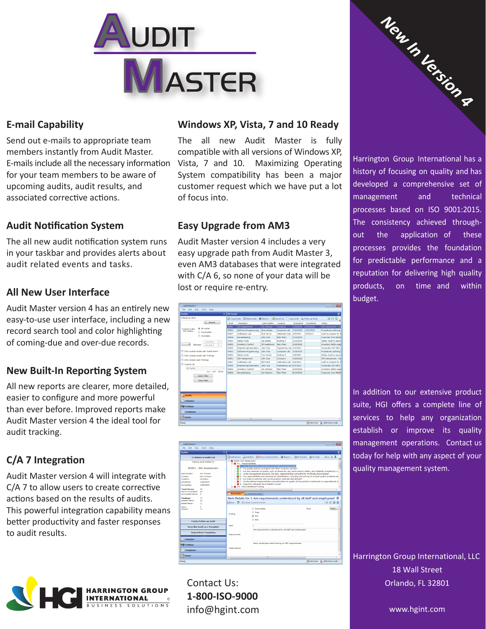

#### **E-mail Capability**

Send out e-mails to appropriate team members instantly from Audit Master. E-mails include all the necessary information for your team members to be aware of upcoming audits, audit results, and associated corrective actions.

# **Audit Notification System**

The all new audit notification system runs in your taskbar and provides alerts about audit related events and tasks.

#### **All New User Interface**

Audit Master version 4 has an entirely new easy-to-use user interface, including a new record search tool and color highlighting of coming-due and over-due records.

# **New Built-In Reporting System**

All new reports are clearer, more detailed, easier to configure and more powerful than ever before. Improved reports make Audit Master version 4 the ideal tool for audit tracking.

# **C/A 7 Integration**

Audit Master version 4 will integrate with C/A 7 to allow users to create corrective actions based on the results of audits. This powerful integration capability means better productivity and faster responses to audit results.



#### **Windows XP, Vista, 7 and 10 Ready**

The all new Audit Master is fully compatible with all versions of Windows XP, Vista, 7 and 10. Maximizing Operating System compatibility has been a major customer request which we have put a lot of focus into.

# **Easy Upgrade from AM3**

Audit Master version 4 includes a very easy upgrade path from Audit Master 3, even AM3 databases that were integrated with C/A 6, so none of your data will be lost or require re-entry.





Contact Us: **1-800-ISO-9000** info@hgint.com



Harrington Group International has a history of focusing on quality and has developed a comprehensive set of management and technical processes based on ISO 9001:2015. The consistency achieved throughout the application of these processes provides the foundation for predictable performance and a reputation for delivering high quality products, on time and within budget.

In addition to our extensive product suite, HGI offers a complete line of services to help any organization establish or improve its quality management operations. Contact us today for help with any aspect of your quality management system.

Harrington Group International, LLC 18 Wall Street Orlando, FL 32801

www.hgint.com